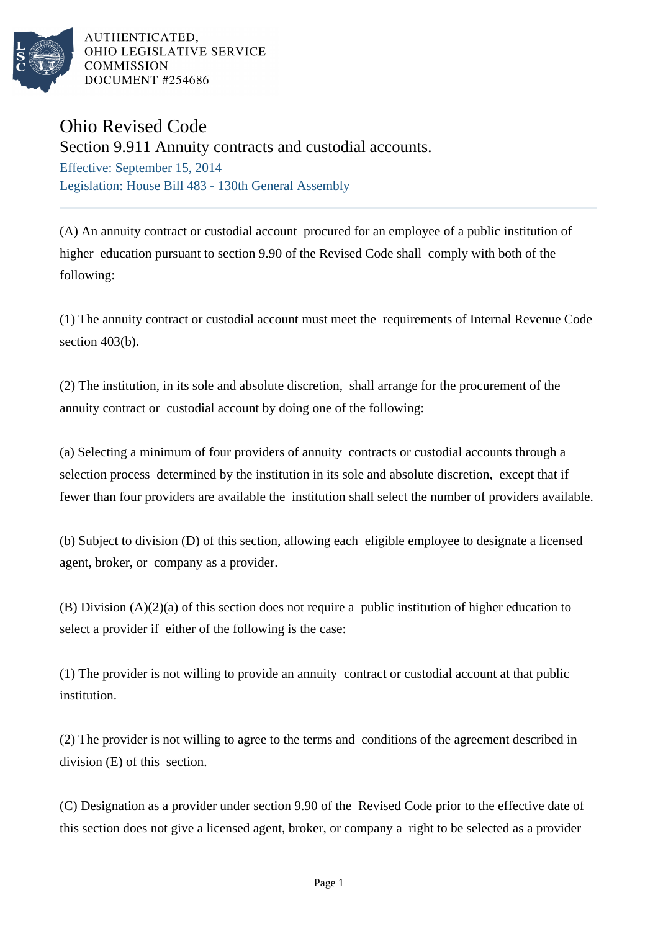

AUTHENTICATED. OHIO LEGISLATIVE SERVICE **COMMISSION** DOCUMENT #254686

## Ohio Revised Code

Section 9.911 Annuity contracts and custodial accounts.

Effective: September 15, 2014 Legislation: House Bill 483 - 130th General Assembly

(A) An annuity contract or custodial account procured for an employee of a public institution of higher education pursuant to section 9.90 of the Revised Code shall comply with both of the following:

(1) The annuity contract or custodial account must meet the requirements of Internal Revenue Code section 403(b).

(2) The institution, in its sole and absolute discretion, shall arrange for the procurement of the annuity contract or custodial account by doing one of the following:

(a) Selecting a minimum of four providers of annuity contracts or custodial accounts through a selection process determined by the institution in its sole and absolute discretion, except that if fewer than four providers are available the institution shall select the number of providers available.

(b) Subject to division (D) of this section, allowing each eligible employee to designate a licensed agent, broker, or company as a provider.

(B) Division (A)(2)(a) of this section does not require a public institution of higher education to select a provider if either of the following is the case:

(1) The provider is not willing to provide an annuity contract or custodial account at that public institution.

(2) The provider is not willing to agree to the terms and conditions of the agreement described in division (E) of this section.

(C) Designation as a provider under section 9.90 of the Revised Code prior to the effective date of this section does not give a licensed agent, broker, or company a right to be selected as a provider